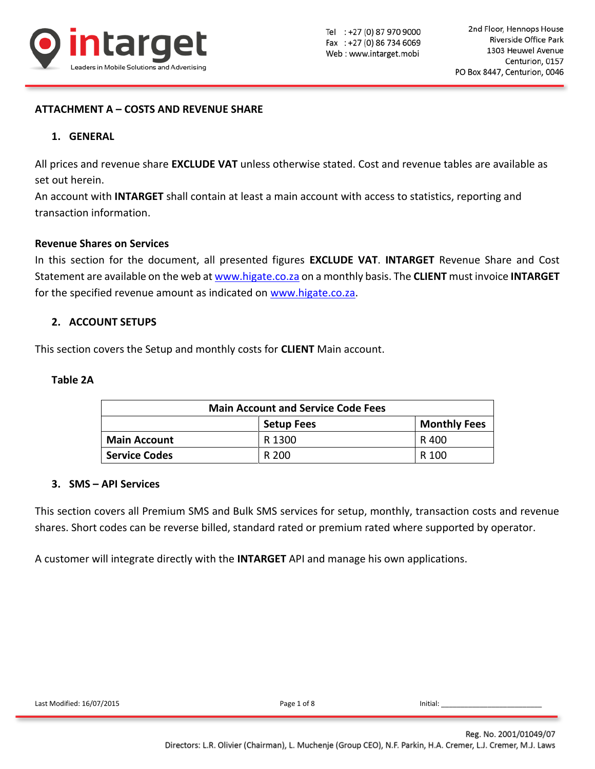

## **ATTACHMENT A – COSTS AND REVENUE SHARE**

### **1. GENERAL**

All prices and revenue share **EXCLUDE VAT** unless otherwise stated. Cost and revenue tables are available as set out herein.

An account with **INTARGET** shall contain at least a main account with access to statistics, reporting and transaction information.

#### **Revenue Shares on Services**

In this section for the document, all presented figures **EXCLUDE VAT**. **INTARGET** Revenue Share and Cost Statement are available on the web at [www.higate.co.za](http://www.higate.co.za/) on a monthly basis. The **CLIENT** must invoice **INTARGET** for the specified revenue amount as indicated on [www.higate.co.za.](http://www.higate.co.za/)

### **2. ACCOUNT SETUPS**

This section covers the Setup and monthly costs for **CLIENT** Main account.

### **Table 2A**

| <b>Main Account and Service Code Fees</b> |        |       |  |
|-------------------------------------------|--------|-------|--|
| <b>Monthly Fees</b><br><b>Setup Fees</b>  |        |       |  |
| <b>Main Account</b>                       | R 1300 | R 400 |  |
| <b>Service Codes</b>                      | R 200  | R 100 |  |

### **3. SMS – API Services**

This section covers all Premium SMS and Bulk SMS services for setup, monthly, transaction costs and revenue shares. Short codes can be reverse billed, standard rated or premium rated where supported by operator.

A customer will integrate directly with the **INTARGET** API and manage his own applications.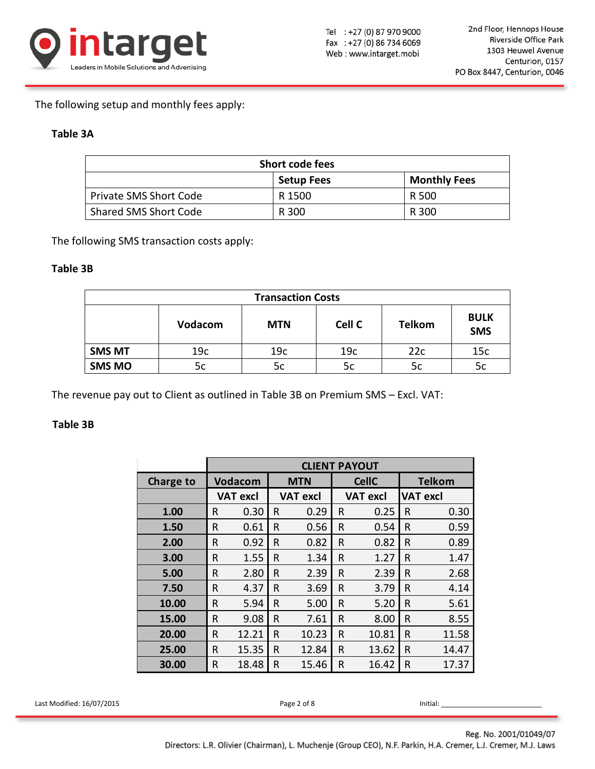

The following setup and monthly fees apply:

# **Table 3A**

| Short code fees               |                   |                     |  |
|-------------------------------|-------------------|---------------------|--|
|                               | <b>Setup Fees</b> | <b>Monthly Fees</b> |  |
| <b>Private SMS Short Code</b> | R 1500            | R 500               |  |
| Shared SMS Short Code         | R 300             | R 300               |  |

The following SMS transaction costs apply:

### **Table 3B**

| <b>Transaction Costs</b> |                |            |                 |               |                           |  |
|--------------------------|----------------|------------|-----------------|---------------|---------------------------|--|
|                          | <b>Vodacom</b> | <b>MTN</b> | Cell C          | <b>Telkom</b> | <b>BULK</b><br><b>SMS</b> |  |
| <b>SMS MT</b>            | 19c            | 19c        | 19 <sub>c</sub> | 22c           | 15c                       |  |
| <b>SMS MO</b>            | 5c             | 5c         | 5c              | 5c            | 5c                        |  |

The revenue pay out to Client as outlined in Table 3B on Premium SMS – Excl. VAT:

# **Table 3B**

|                           |           | <b>CLIENT PAYOUT</b> |                 |                            |                 |               |                 |              |                 |
|---------------------------|-----------|----------------------|-----------------|----------------------------|-----------------|---------------|-----------------|--------------|-----------------|
|                           | Charge to | <b>Vodacom</b>       |                 | <b>CellC</b><br><b>MTN</b> |                 | <b>Telkom</b> |                 |              |                 |
|                           |           |                      | <b>VAT excl</b> |                            | <b>VAT excl</b> |               | <b>VAT excl</b> |              | <b>VAT excl</b> |
|                           | 1.00      | $\mathsf{R}$         | 0.30            | $\mathsf{R}$               | 0.29            | $\mathsf{R}$  | 0.25            | $\mathsf{R}$ | 0.30            |
|                           | 1.50      | $\mathsf{R}$         | 0.61            | $\mathsf{R}$               | 0.56            | $\mathsf R$   | 0.54            | $\mathsf{R}$ | 0.59            |
|                           | 2.00      | $\sf R$              | 0.92            | $\mathsf{R}$               | 0.82            | $\sf R$       | 0.82            | R            | 0.89            |
|                           | 3.00      | ${\sf R}$            | 1.55            | $\mathsf{R}$               | 1.34            | $\mathsf{R}$  | 1.27            | $\mathsf{R}$ | 1.47            |
|                           | 5.00      | $\mathsf R$          | 2.80            | $\mathsf{R}$               | 2.39            | $\mathsf{R}$  | 2.39            | $\mathsf{R}$ | 2.68            |
|                           | 7.50      | $\mathsf R$          | 4.37            | $\mathsf{R}$               | 3.69            | $\mathsf R$   | 3.79            | R            | 4.14            |
|                           | 10.00     | $\mathsf{R}$         | 5.94            | $\mathsf{R}$               | 5.00            | $\mathsf R$   | 5.20            | $\mathsf{R}$ | 5.61            |
|                           | 15.00     | $\mathsf{R}$         | 9.08            | $\mathsf{R}$               | 7.61            | $\mathsf{R}$  | 8.00            | $\mathsf{R}$ | 8.55            |
|                           | 20.00     | $\mathsf R$          | 12.21           | $\mathsf{R}$               | 10.23           | $\mathsf R$   | 10.81           | $\mathsf{R}$ | 11.58           |
|                           | 25.00     | $\mathsf{R}$         | 15.35           | $\mathsf{R}$               | 12.84           | $\mathsf{R}$  | 13.62           | $\mathsf{R}$ | 14.47           |
|                           | 30.00     | $\mathsf R$          | 18.48           | $\mathsf{R}$               | 15.46           | $\mathsf{R}$  | 16.42           | $\mathsf{R}$ | 17.37           |
|                           |           |                      |                 |                            |                 |               |                 |              |                 |
| Last Modified: 16/07/2015 |           |                      |                 |                            | Page 2 of 8     |               |                 |              | Initial:        |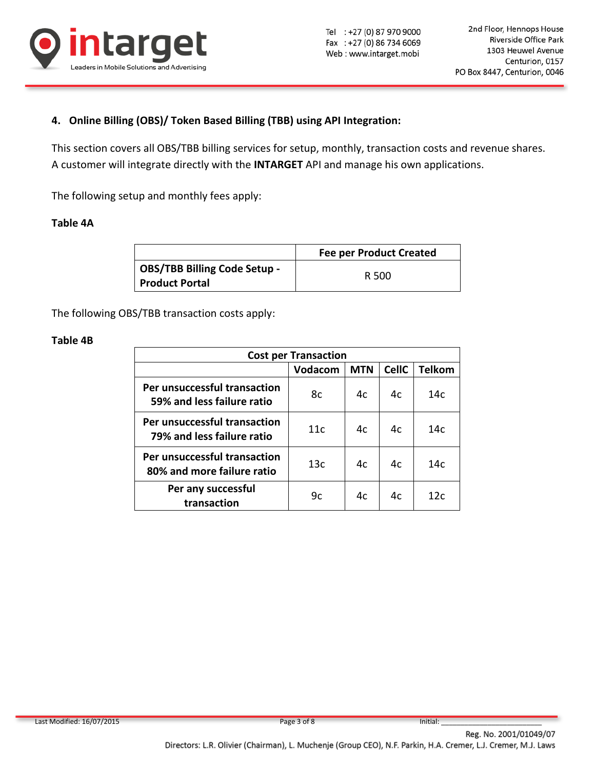

# **4. Online Billing (OBS)/ Token Based Billing (TBB) using API Integration:**

This section covers all OBS/TBB billing services for setup, monthly, transaction costs and revenue shares. A customer will integrate directly with the **INTARGET** API and manage his own applications.

The following setup and monthly fees apply:

# **Table 4A**

|                                     | <b>Fee per Product Created</b> |
|-------------------------------------|--------------------------------|
| <b>OBS/TBB Billing Code Setup -</b> | R 500                          |
| <b>Product Portal</b>               |                                |

The following OBS/TBB transaction costs apply:

### **Table 4B**

| <b>Cost per Transaction</b>                                |         |            |              |               |
|------------------------------------------------------------|---------|------------|--------------|---------------|
|                                                            | Vodacom | <b>MTN</b> | <b>CellC</b> | <b>Telkom</b> |
| Per unsuccessful transaction<br>59% and less failure ratio | 8с      | 4c         | 4c           | 14c           |
| Per unsuccessful transaction<br>79% and less failure ratio | 11c     | 4c         | 4c           | 14с           |
| Per unsuccessful transaction<br>80% and more failure ratio | 13c     | 4c         | 4c           | 14c           |
| Per any successful<br>transaction                          | 9c      | 4c         | 4c           | 12c           |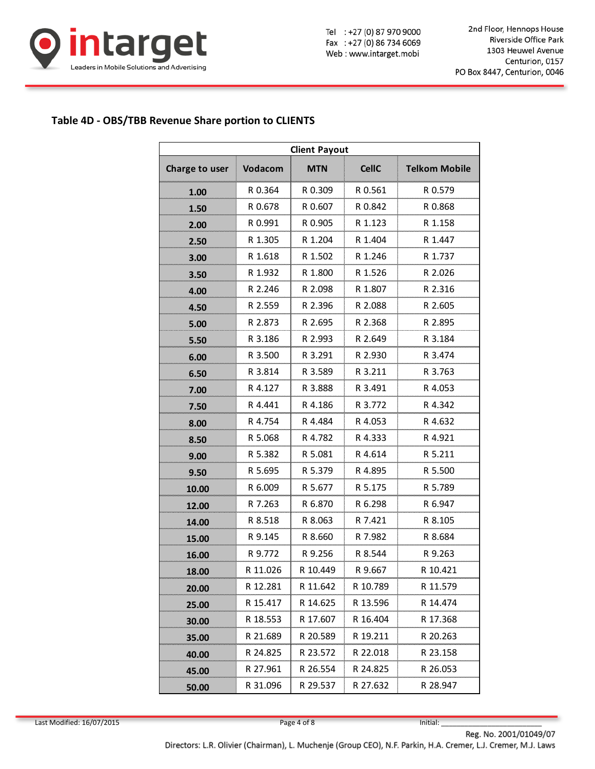

Tel : +27 (0) 87 970 9000 Fax: +27 (0) 86 734 6069 Web: www.intarget.mobi

2nd Floor, Hennops House Riverside Office Park 1303 Heuwel Avenue Centurion, 0157 PO Box 8447, Centurion, 0046

# **Table 4D - OBS/TBB Revenue Share portion to CLIENTS**

| <b>Client Payout</b> |          |            |              |                      |  |  |
|----------------------|----------|------------|--------------|----------------------|--|--|
| Charge to user       | Vodacom  | <b>MTN</b> | <b>CellC</b> | <b>Telkom Mobile</b> |  |  |
| 1.00                 | R 0.364  | R 0.309    | R 0.561      | R 0.579              |  |  |
| 1.50                 | R 0.678  | R 0.607    | R 0.842      | R 0.868              |  |  |
| 2.00                 | R 0.991  | R 0.905    | R 1.123      | R 1.158              |  |  |
| 2.50                 | R 1.305  | R 1.204    | R 1.404      | R 1.447              |  |  |
| 3.00                 | R 1.618  | R 1.502    | R 1.246      | R 1.737              |  |  |
| 3.50                 | R 1.932  | R 1.800    | R 1.526      | R 2.026              |  |  |
| 4.00                 | R 2.246  | R 2.098    | R 1.807      | R 2.316              |  |  |
| 4.50                 | R 2.559  | R 2.396    | R 2.088      | R 2.605              |  |  |
| 5.00                 | R 2.873  | R 2.695    | R 2.368      | R 2.895              |  |  |
| 5.50                 | R 3.186  | R 2.993    | R 2.649      | R 3.184              |  |  |
| 6.00                 | R 3.500  | R 3.291    | R 2.930      | R 3.474              |  |  |
| 6.50                 | R 3.814  | R 3.589    | R 3.211      | R 3.763              |  |  |
| 7.00                 | R 4.127  | R 3.888    | R 3.491      | R 4.053              |  |  |
| 7.50                 | R 4.441  | R 4.186    | R 3.772      | R 4.342              |  |  |
| 8.00                 | R 4.754  | R 4.484    | R 4.053      | R 4.632              |  |  |
| 8.50                 | R 5.068  | R 4.782    | R 4.333      | R 4.921              |  |  |
| 9.00                 | R 5.382  | R 5.081    | R 4.614      | R 5.211              |  |  |
| 9.50                 | R 5.695  | R 5.379    | R 4.895      | R 5.500              |  |  |
| 10.00                | R 6.009  | R 5.677    | R 5.175      | R 5.789              |  |  |
| 12.00                | R 7.263  | R 6.870    | R 6.298      | R 6.947              |  |  |
| 14.00                | R 8.518  | R 8.063    | R 7.421      | R 8.105              |  |  |
| 15.00                | R 9.145  | R 8.660    | R 7.982      | R 8.684              |  |  |
| 16.00                | R 9.772  | R 9.256    | R 8.544      | R 9.263              |  |  |
| 18.00                | R 11.026 | R 10.449   | R 9.667      | R 10.421             |  |  |
| 20.00                | R 12.281 | R 11.642   | R 10.789     | R 11.579             |  |  |
| 25.00                | R 15.417 | R 14.625   | R 13.596     | R 14.474             |  |  |
| 30.00                | R 18.553 | R 17.607   | R 16.404     | R 17.368             |  |  |
| 35.00                | R 21.689 | R 20.589   | R 19.211     | R 20.263             |  |  |
| 40.00                | R 24.825 | R 23.572   | R 22.018     | R 23.158             |  |  |
| 45.00                | R 27.961 | R 26.554   | R 24.825     | R 26.053             |  |  |
| 50.00                | R 31.096 | R 29.537   | R 27.632     | R 28.947             |  |  |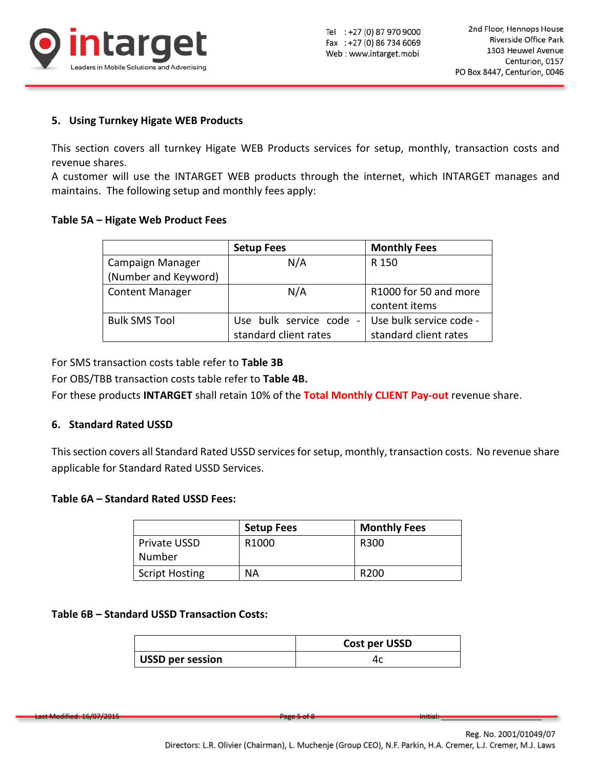

# **5. Using Turnkey Higate WEB Products**

This section covers all turnkey Higate WEB Products services for setup, monthly, transaction costs and revenue shares.

A customer will use the INTARGET WEB products through the internet, which INTARGET manages and maintains. The following setup and monthly fees apply:

### **Table 5A – Higate Web Product Fees**

|                        | <b>Setup Fees</b>                                     | <b>Monthly Fees</b>     |
|------------------------|-------------------------------------------------------|-------------------------|
| Campaign Manager       | N/A                                                   | R 150                   |
| (Number and Keyword)   |                                                       |                         |
| <b>Content Manager</b> | N/A                                                   | R1000 for 50 and more   |
|                        |                                                       | content items           |
| <b>Bulk SMS Tool</b>   | Use bulk service code<br>$\qquad \qquad \blacksquare$ | Use bulk service code - |
|                        | standard client rates                                 | standard client rates   |

For SMS transaction costs table refer to **Table 3B**

For OBS/TBB transaction costs table refer to **Table 4B.**

For these products **INTARGET** shall retain 10% of the **Total Monthly CLIENT Pay-out** revenue share.

### **6. Standard Rated USSD**

This section covers all Standard Rated USSD services for setup, monthly, transaction costs. No revenue share applicable for Standard Rated USSD Services.

# **Table 6A – Standard Rated USSD Fees:**

|                       | <b>Setup Fees</b> | <b>Monthly Fees</b> |
|-----------------------|-------------------|---------------------|
| Private USSD          | R <sub>1000</sub> | R300                |
| Number                |                   |                     |
| <b>Script Hosting</b> | <b>NA</b>         | R <sub>200</sub>    |

#### **Table 6B – Standard USSD Transaction Costs:**

|                         | Cost per USSD |  |
|-------------------------|---------------|--|
| <b>USSD per session</b> |               |  |

Last Modified: 16/07/2015 Page 5 of 8 Initial: \_\_\_\_\_\_\_\_\_\_\_\_\_\_\_\_\_\_\_\_\_\_\_\_\_\_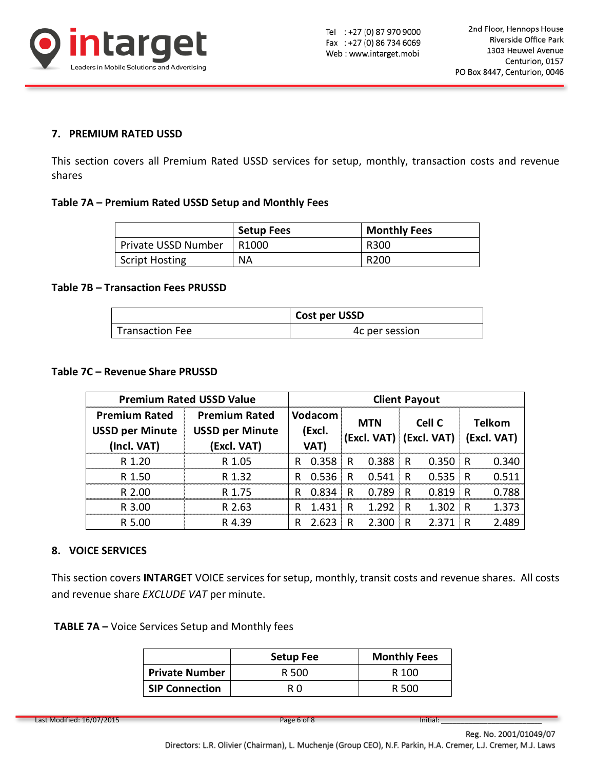

## **7. PREMIUM RATED USSD**

This section covers all Premium Rated USSD services for setup, monthly, transaction costs and revenue shares

### **Table 7A – Premium Rated USSD Setup and Monthly Fees**

|                     | <b>Setup Fees</b> | <b>Monthly Fees</b> |
|---------------------|-------------------|---------------------|
| Private USSD Number | R <sub>1000</sub> | R300                |
| Script Hosting      | <b>NA</b>         | R <sub>200</sub>    |

### **Table 7B – Transaction Fees PRUSSD**

|                        | <b>Cost per USSD</b> |
|------------------------|----------------------|
| <b>Transaction Fee</b> | 4c per session       |

### **Table 7C – Revenue Share PRUSSD**

| <b>Premium Rated USSD Value</b>                               |                                                               | <b>Client Payout</b> |                                  |   |            |   |                                   |     |                              |
|---------------------------------------------------------------|---------------------------------------------------------------|----------------------|----------------------------------|---|------------|---|-----------------------------------|-----|------------------------------|
| <b>Premium Rated</b><br><b>USSD per Minute</b><br>(Incl. VAT) | <b>Premium Rated</b><br><b>USSD per Minute</b><br>(Excl. VAT) |                      | <b>Vodacom</b><br>(Excl.<br>VAT) |   | <b>MTN</b> |   | Cell C<br>(Excl. VAT) (Excl. VAT) |     | <b>Telkom</b><br>(Excl. VAT) |
| R 1.20                                                        | R 1.05                                                        | R                    | 0.358                            | R | 0.388      | R | 0.350                             | ∃ R | 0.340                        |
| R 1.50                                                        | R 1.32                                                        | R                    | 0.536                            | R | 0.541      | R | 0.535                             | ≬ R | 0.511                        |
| R 2.00                                                        | R 1.75                                                        | R                    | 0.834                            | R | 0.789      | R | 0.819                             | R   | 0.788                        |
| R 3.00                                                        | R 2.63                                                        | R                    | 1.431                            | R | 1.292      | R | 1.302                             | R   | 1.373                        |
| R 5.00                                                        | R 4.39                                                        | R                    | 2.623                            | R | 2.300      | R | 2.371                             | R   | 2 489                        |

### **8. VOICE SERVICES**

This section covers **INTARGET** VOICE services for setup, monthly, transit costs and revenue shares. All costs and revenue share *EXCLUDE VAT* per minute.

**TABLE 7A –** Voice Services Setup and Monthly fees

|                       | <b>Setup Fee</b> | <b>Monthly Fees</b> |
|-----------------------|------------------|---------------------|
| <b>Private Number</b> | R 500            | R 100               |
| <b>SIP Connection</b> | R N              | R 500               |

Last Modified: 16/07/2015 **Page 6 of 8** Initial: Last Modified: 16/07/2015

Reg. No. 2001/01049/07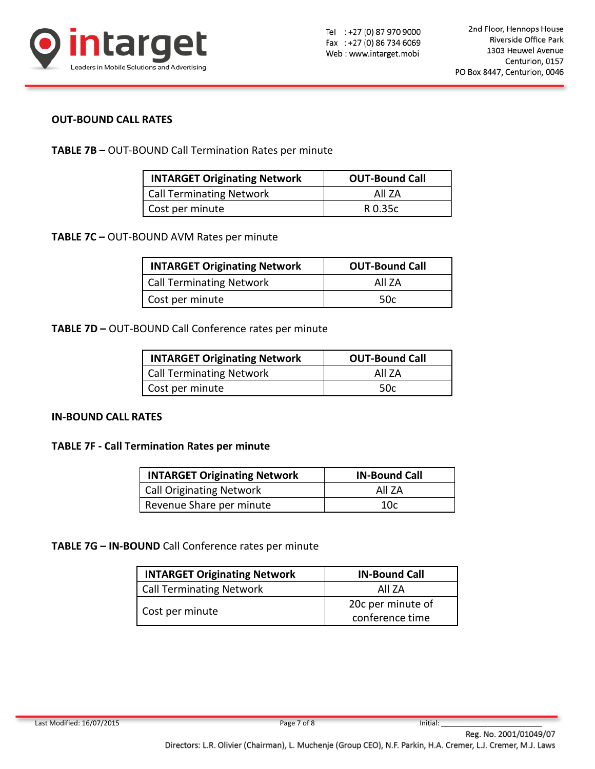

### **OUT-BOUND CALL RATES**

**TABLE 7B –** OUT-BOUND Call Termination Rates per minute

| <b>INTARGET Originating Network</b> | <b>OUT-Bound Call</b> |
|-------------------------------------|-----------------------|
| Call Terminating Network            | All 7A                |
| Cost per minute                     | R 0.35c               |

**TABLE 7C –** OUT-BOUND AVM Rates per minute

| <b>INTARGET Originating Network</b> | <b>OUT-Bound Call</b> |
|-------------------------------------|-----------------------|
| <b>Call Terminating Network</b>     | All 7A                |
| Cost per minute                     | 50c                   |

**TABLE 7D –** OUT-BOUND Call Conference rates per minute

| <b>INTARGET Originating Network</b> | <b>OUT-Bound Call</b> |
|-------------------------------------|-----------------------|
| Call Terminating Network            | All 7A                |
| Cost per minute                     | .50c                  |

### **IN-BOUND CALL RATES**

### **TABLE 7F - Call Termination Rates per minute**

| <b>INTARGET Originating Network</b> | <b>IN-Bound Call</b> |
|-------------------------------------|----------------------|
| Call Originating Network            | All 7A               |
| Revenue Share per minute            | 10c                  |

**TABLE 7G – IN-BOUND** Call Conference rates per minute

| <b>INTARGET Originating Network</b> | <b>IN-Bound Call</b>                 |
|-------------------------------------|--------------------------------------|
| <b>Call Terminating Network</b>     | All 7A                               |
| Cost per minute                     | 20c per minute of<br>conference time |